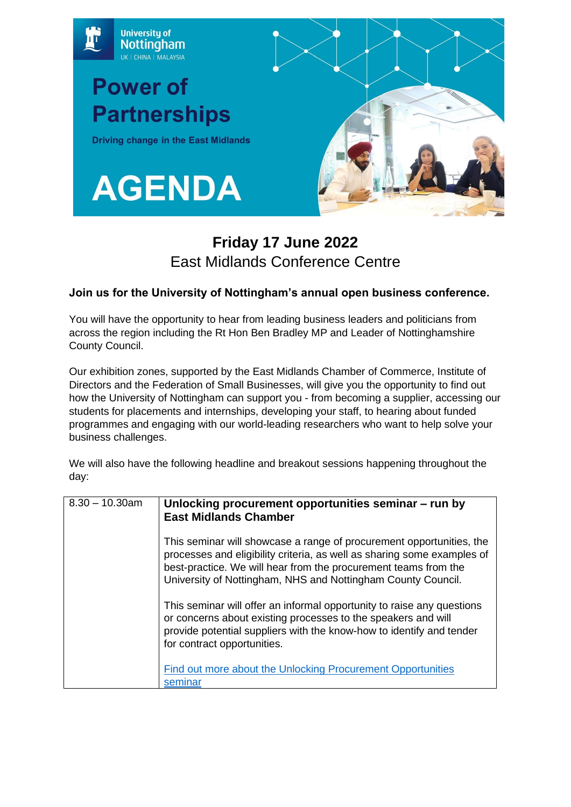

## **Friday 17 June 2022** East Midlands Conference Centre

## **Join us for the University of Nottingham's annual open business conference.**

You will have the opportunity to hear from leading business leaders and politicians from across the region including the Rt Hon Ben Bradley MP and Leader of Nottinghamshire County Council.

Our exhibition zones, supported by the East Midlands Chamber of Commerce, Institute of Directors and the Federation of Small Businesses, will give you the opportunity to find out how the University of Nottingham can support you - from becoming a supplier, accessing our students for placements and internships, developing your staff, to hearing about funded programmes and engaging with our world-leading researchers who want to help solve your business challenges.

We will also have the following headline and breakout sessions happening throughout the day:

| $8.30 - 10.30$ am | Unlocking procurement opportunities seminar – run by<br><b>East Midlands Chamber</b>                                                                                                                                                                                               |
|-------------------|------------------------------------------------------------------------------------------------------------------------------------------------------------------------------------------------------------------------------------------------------------------------------------|
|                   | This seminar will showcase a range of procurement opportunities, the<br>processes and eligibility criteria, as well as sharing some examples of<br>best-practice. We will hear from the procurement teams from the<br>University of Nottingham, NHS and Nottingham County Council. |
|                   | This seminar will offer an informal opportunity to raise any questions<br>or concerns about existing processes to the speakers and will<br>provide potential suppliers with the know-how to identify and tender<br>for contract opportunities.                                     |
|                   | Find out more about the Unlocking Procurement Opportunities<br>seminar                                                                                                                                                                                                             |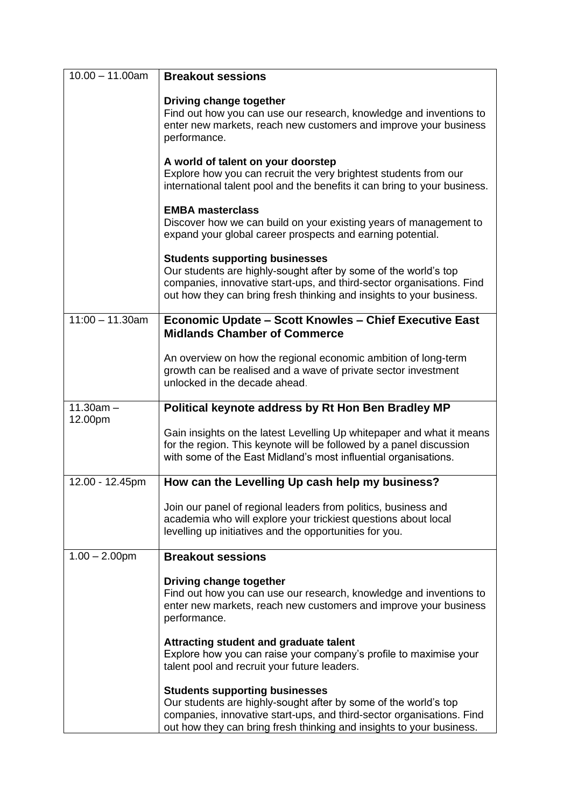| $10.00 - 11.00$ am     | <b>Breakout sessions</b>                                                                                                                                                                                                                                  |
|------------------------|-----------------------------------------------------------------------------------------------------------------------------------------------------------------------------------------------------------------------------------------------------------|
|                        | Driving change together<br>Find out how you can use our research, knowledge and inventions to<br>enter new markets, reach new customers and improve your business<br>performance.                                                                         |
|                        | A world of talent on your doorstep<br>Explore how you can recruit the very brightest students from our<br>international talent pool and the benefits it can bring to your business.                                                                       |
|                        | <b>EMBA masterclass</b><br>Discover how we can build on your existing years of management to<br>expand your global career prospects and earning potential.                                                                                                |
|                        | <b>Students supporting businesses</b><br>Our students are highly-sought after by some of the world's top<br>companies, innovative start-ups, and third-sector organisations. Find<br>out how they can bring fresh thinking and insights to your business. |
| $11:00 - 11.30$ am     | <b>Economic Update - Scott Knowles - Chief Executive East</b><br><b>Midlands Chamber of Commerce</b>                                                                                                                                                      |
|                        | An overview on how the regional economic ambition of long-term<br>growth can be realised and a wave of private sector investment<br>unlocked in the decade ahead.                                                                                         |
| $11.30am -$<br>12.00pm | Political keynote address by Rt Hon Ben Bradley MP                                                                                                                                                                                                        |
|                        | Gain insights on the latest Levelling Up whitepaper and what it means<br>for the region. This keynote will be followed by a panel discussion<br>with some of the East Midland's most influential organisations.                                           |
| 12.00 - 12.45pm        | How can the Levelling Up cash help my business?                                                                                                                                                                                                           |
|                        | Join our panel of regional leaders from politics, business and<br>academia who will explore your trickiest questions about local<br>levelling up initiatives and the opportunities for you.                                                               |
| $1.00 - 2.00$ pm       | <b>Breakout sessions</b>                                                                                                                                                                                                                                  |
|                        | Driving change together<br>Find out how you can use our research, knowledge and inventions to<br>enter new markets, reach new customers and improve your business<br>performance.                                                                         |
|                        | Attracting student and graduate talent<br>Explore how you can raise your company's profile to maximise your<br>talent pool and recruit your future leaders.                                                                                               |
|                        | <b>Students supporting businesses</b><br>Our students are highly-sought after by some of the world's top<br>companies, innovative start-ups, and third-sector organisations. Find<br>out how they can bring fresh thinking and insights to your business. |